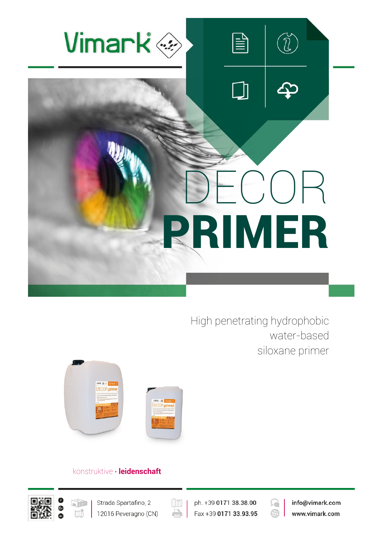

High penetrating hydrophobic water-based siloxane primer



# konstruktive **∙ leidenschaft**





 $(\boxed{\mathbb{E}}$ e

ph. +39 0171 38.38.00 Fax +39 0171 33.93.95



info@vimark.com www.vimark.com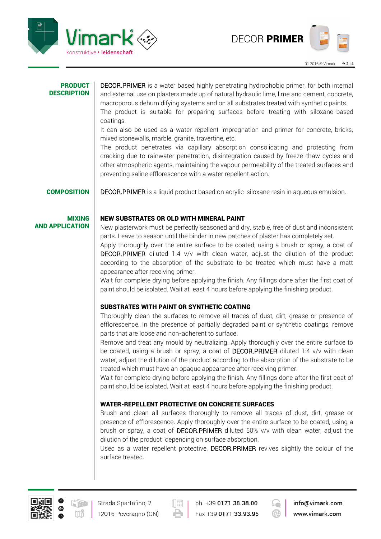

#### PRODUCT **DESCRIPTION**

DECOR.PRIMER is a water based highly penetrating hydrophobic primer, for both internal and external use on plasters made up of natural hydraulic lime, lime and cement, concrete, macroporous dehumidifying systems and on all substrates treated with synthetic paints.

The product is suitable for preparing surfaces before treating with siloxane-based coatings.

It can also be used as a water repellent impregnation and primer for concrete, bricks, mixed stonewalls, marble, granite, travertine, etc.

The product penetrates via capillary absorption consolidating and protecting from cracking due to rainwater penetration, disintegration caused by freeze-thaw cycles and other atmospheric agents, maintaining the vapour permeability of the treated surfaces and preventing saline efflorescence with a water repellent action.

**COMPOSITION** DECOR.PRIMER is a liquid product based on acrylic-siloxane resin in aqueous emulsion.

#### MIXING AND APPLICATION

### NEW SUBSTRATES OR OLD WITH MINERAL PAINT

New plasterwork must be perfectly seasoned and dry, stable, free of dust and inconsistent parts. Leave to season until the binder in new patches of plaster has completely set.

Apply thoroughly over the entire surface to be coated, using a brush or spray, a coat of DECOR.PRIMER diluted 1:4 v/v with clean water, adjust the dilution of the product according to the absorption of the substrate to be treated which must have a matt appearance after receiving primer.

Wait for complete drying before applying the finish. Any fillings done after the first coat of paint should be isolated. Wait at least 4 hours before applying the finishing product.

## SUBSTRATES WITH PAINT OR SYNTHETIC COATING

Thoroughly clean the surfaces to remove all traces of dust, dirt, grease or presence of efflorescence. In the presence of partially degraded paint or synthetic coatings, remove parts that are loose and non-adherent to surface.

Remove and treat any mould by neutralizing. Apply thoroughly over the entire surface to be coated, using a brush or spray, a coat of DECOR.PRIMER diluted 1:4 v/v with clean water, adjust the dilution of the product according to the absorption of the substrate to be treated which must have an opaque appearance after receiving primer.

Wait for complete drying before applying the finish. Any fillings done after the first coat of paint should be isolated. Wait at least 4 hours before applying the finishing product.

### WATER-REPELLENT PROTECTIVE ON CONCRETE SURFACES

Brush and clean all surfaces thoroughly to remove all traces of dust, dirt, grease or presence of efflorescence. Apply thoroughly over the entire surface to be coated, using a brush or spray, a coat of DECOR.PRIMER diluted 50% v/v with clean water, adjust the dilution of the product depending on surface absorption.

Used as a water repellent protective, DECOR.PRIMER revives slightly the colour of the surface treated.



12016 Peveragno (CN)



ph. +39 0171 38.38.00 Fax +39 0171 33.93.95



info@vimark.com www.vimark.com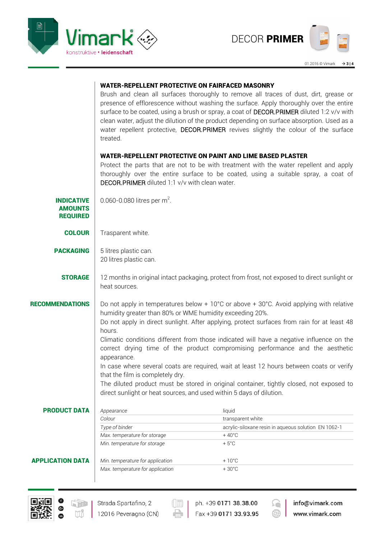



|                                                        | treated.                                                                                                       | <b>WATER-REPELLENT PROTECTIVE ON FAIRFACED MASONRY</b><br>Brush and clean all surfaces thoroughly to remove all traces of dust, dirt, grease or<br>presence of efflorescence without washing the surface. Apply thoroughly over the entire<br>surface to be coated, using a brush or spray, a coat of DECOR.PRIMER diluted 1:2 v/v with<br>clean water, adjust the dilution of the product depending on surface absorption. Used as a<br>water repellent protective, DECOR.PRIMER revives slightly the colour of the surface                                                                                                                                                                    |  |  |  |
|--------------------------------------------------------|----------------------------------------------------------------------------------------------------------------|-------------------------------------------------------------------------------------------------------------------------------------------------------------------------------------------------------------------------------------------------------------------------------------------------------------------------------------------------------------------------------------------------------------------------------------------------------------------------------------------------------------------------------------------------------------------------------------------------------------------------------------------------------------------------------------------------|--|--|--|
|                                                        | DECOR.PRIMER diluted 1:1 v/v with clean water.                                                                 | <b>WATER-REPELLENT PROTECTIVE ON PAINT AND LIME BASED PLASTER</b><br>Protect the parts that are not to be with treatment with the water repellent and apply<br>thoroughly over the entire surface to be coated, using a suitable spray, a coat of                                                                                                                                                                                                                                                                                                                                                                                                                                               |  |  |  |
| <b>INDICATIVE</b><br><b>AMOUNTS</b><br><b>REQUIRED</b> | 0.060-0.080 litres per $m^2$ .                                                                                 |                                                                                                                                                                                                                                                                                                                                                                                                                                                                                                                                                                                                                                                                                                 |  |  |  |
| <b>COLOUR</b>                                          | Trasparent white.                                                                                              |                                                                                                                                                                                                                                                                                                                                                                                                                                                                                                                                                                                                                                                                                                 |  |  |  |
| <b>PACKAGING</b>                                       | 5 litres plastic can.<br>20 litres plastic can.                                                                |                                                                                                                                                                                                                                                                                                                                                                                                                                                                                                                                                                                                                                                                                                 |  |  |  |
| <b>STORAGE</b>                                         | 12 months in original intact packaging, protect from frost, not exposed to direct sunlight or<br>heat sources. |                                                                                                                                                                                                                                                                                                                                                                                                                                                                                                                                                                                                                                                                                                 |  |  |  |
| <b>RECOMMENDATIONS</b>                                 | hours.<br>appearance.<br>that the film is completely dry.                                                      | Do not apply in temperatures below + 10°C or above + 30°C. Avoid applying with relative<br>humidity greater than 80% or WME humidity exceeding 20%.<br>Do not apply in direct sunlight. After applying, protect surfaces from rain for at least 48<br>Climatic conditions different from those indicated will have a negative influence on the<br>correct drying time of the product compromising performance and the aesthetic<br>In case where several coats are required, wait at least 12 hours between coats or verify<br>The diluted product must be stored in original container, tightly closed, not exposed to<br>direct sunlight or heat sources, and used within 5 days of dilution. |  |  |  |
| <b>PRODUCT DATA</b>                                    | Appearance                                                                                                     | liquid                                                                                                                                                                                                                                                                                                                                                                                                                                                                                                                                                                                                                                                                                          |  |  |  |
|                                                        | Colour                                                                                                         | transparent white                                                                                                                                                                                                                                                                                                                                                                                                                                                                                                                                                                                                                                                                               |  |  |  |
|                                                        | Type of binder<br>Max. temperature for storage                                                                 | acrylic-siloxane resin in aqueous solution EN 1062-1<br>$+40^{\circ}$ C                                                                                                                                                                                                                                                                                                                                                                                                                                                                                                                                                                                                                         |  |  |  |
|                                                        | Min. temperature for storage                                                                                   | $+5^{\circ}$ C                                                                                                                                                                                                                                                                                                                                                                                                                                                                                                                                                                                                                                                                                  |  |  |  |
| <b>APPLICATION DATA</b>                                | Min. temperature for application                                                                               | $+10^{\circ}$ C                                                                                                                                                                                                                                                                                                                                                                                                                                                                                                                                                                                                                                                                                 |  |  |  |
|                                                        | Max. temperature for application                                                                               | $+30^{\circ}$ C                                                                                                                                                                                                                                                                                                                                                                                                                                                                                                                                                                                                                                                                                 |  |  |  |
|                                                        |                                                                                                                |                                                                                                                                                                                                                                                                                                                                                                                                                                                                                                                                                                                                                                                                                                 |  |  |  |



Strada Spartafino, 2 12016 Peveragno (CN)

 $\left(\begin{matrix}\overline{\phantom{a}}\ \overline{\phantom{a}}\ \overline{\phantom{a}}\ \overline{\phantom{a}}\ \overline{\phantom{a}}\ \overline{\phantom{a}}\ \overline{\phantom{a}}\ \overline{\phantom{a}}\ \overline{\phantom{a}}\ \overline{\phantom{a}}\ \overline{\phantom{a}}\ \overline{\phantom{a}}\ \overline{\phantom{a}}\ \overline{\phantom{a}}\ \overline{\phantom{a}}\ \overline{\phantom{a}}\ \overline{\phantom{a}}\ \overline{\phantom{a}}\ \overline{\phantom{a}}\ \overline{\phantom{a}}\ \overline{\phantom{a}}\ \overline{\$ 

 $\Rightarrow$ 

ph. +39 0171 38.38.00 Fax +39 0171 33.93.95